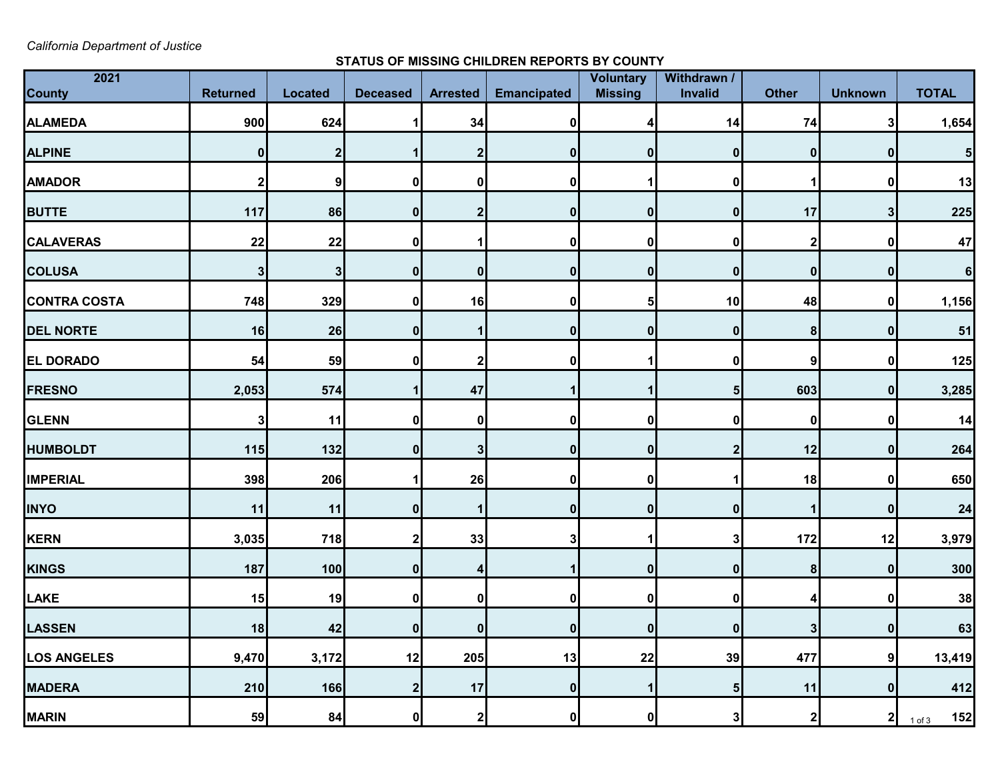*California Department of Justice*

## **STATUS OF MISSING CHILDREN REPORTS BY COUNTY**

| 2021                | <b>Voluntary</b><br>Withdrawn / |                  |                  |                 |                    |                |                 |                  |                |                   |
|---------------------|---------------------------------|------------------|------------------|-----------------|--------------------|----------------|-----------------|------------------|----------------|-------------------|
| <b>County</b>       | <b>Returned</b>                 | <b>Located</b>   | <b>Deceased</b>  | <b>Arrested</b> | <b>Emancipated</b> | <b>Missing</b> | Invalid         | <b>Other</b>     | <b>Unknown</b> | <b>TOTAL</b>      |
| <b>ALAMEDA</b>      | 900                             | 624              |                  | 34              | 0                  |                | 14              | 74               | $\mathbf{3}$   | 1,654             |
| <b>ALPINE</b>       | $\bf{0}$                        | $\boldsymbol{2}$ | 1                | $\mathbf{2}$    | 0                  | $\mathbf{0}$   | 0               | $\pmb{0}$        | 0              | $5\phantom{1}$    |
| <b>AMADOR</b>       | $\overline{\mathbf{2}}$         | 9                | ŋ                | 0               | 0                  |                | 0               |                  | 0              | 13                |
| <b>BUTTE</b>        | 117                             | 86               | $\mathbf 0$      | $\mathbf{2}$    | 0                  | $\mathbf{0}$   | $\pmb{0}$       | 17               | 3              | 225               |
| <b>CALAVERAS</b>    | 22                              | 22               | 0                |                 | 0                  | $\mathbf{0}$   | 0               | $\boldsymbol{2}$ | $\mathbf 0$    | 47                |
| <b>COLUSA</b>       | $\mathbf{3}$                    | $\mathbf{3}$     | 0                | 0               | 0                  | $\mathbf{0}$   | $\pmb{0}$       | $\pmb{0}$        | $\mathbf{0}$   | $\bf 6$           |
| <b>CONTRA COSTA</b> | 748                             | 329              | 0                | 16              | 0                  | 5              | 10              | 48               | 0              | 1,156             |
| <b>DEL NORTE</b>    | 16                              | 26               | $\bf{0}$         | 1               | 0                  | $\mathbf{0}$   | $\mathbf 0$     | 8                | $\bf{0}$       | 51                |
| <b>EL DORADO</b>    | 54                              | 59               | 0                | $\mathbf{2}$    | 0                  |                | 0               | 9                | $\mathbf 0$    | 125               |
| <b>FRESNO</b>       | 2,053                           | 574              | 1                | 47              | 1                  |                | $5\phantom{.0}$ | 603              | 0              | 3,285             |
| <b>GLENN</b>        | 3                               | 11               | 0                | 0               | 0                  | 0              | 0               | 0                | 0              | 14                |
| <b>HUMBOLDT</b>     | 115                             | 132              | $\bf{0}$         | 3               | 0                  | 0              | $\mathbf 2$     | 12               | $\mathbf{0}$   | 264               |
| <b>IMPERIAL</b>     | 398                             | 206              |                  | 26              | $\mathbf{0}$       | $\mathbf{0}$   | 1               | 18               | $\mathbf{0}$   | 650               |
| <b>INYO</b>         | 11                              | 11               | $\mathbf 0$      | 11              | 0                  | 0              | $\mathbf 0$     | 1                | $\mathbf{0}$   | 24                |
| <b>KERN</b>         | 3,035                           | 718              | 2                | 33              | 3                  |                | 3               | 172              | 12             | 3,979             |
| <b>KINGS</b>        | 187                             | 100              | 0                | $\overline{4}$  |                    | $\mathbf{0}$   | $\mathbf 0$     | 8                | $\mathbf 0$    | 300               |
| LAKE                | 15                              | 19               | 0                | 0               | 0                  | 0              | 0               | 4                | $\mathbf 0$    | 38                |
| <b>LASSEN</b>       | 18                              | 42               | $\mathbf 0$      | 0               | 0                  | $\bf{0}$       | 0               | $\mathbf{3}$     | $\mathbf{0}$   | 63                |
| <b>LOS ANGELES</b>  | 9,470                           | 3,172            | 12               | 205             | 13                 | 22             | 39              | 477              | 9              | 13,419            |
| <b>MADERA</b>       | 210                             | 166              | $\boldsymbol{2}$ | 17              | 0                  |                | ${\bf 5}$       | 11               | $\mathbf 0$    | 412               |
| <b>MARIN</b>        | 59                              | 84               | 0                | $\mathbf{2}$    | $\mathbf{0}$       | $\mathbf 0$    | 3               | $\mathbf{2}$     | $2\vert$       | 152<br>$1$ of $3$ |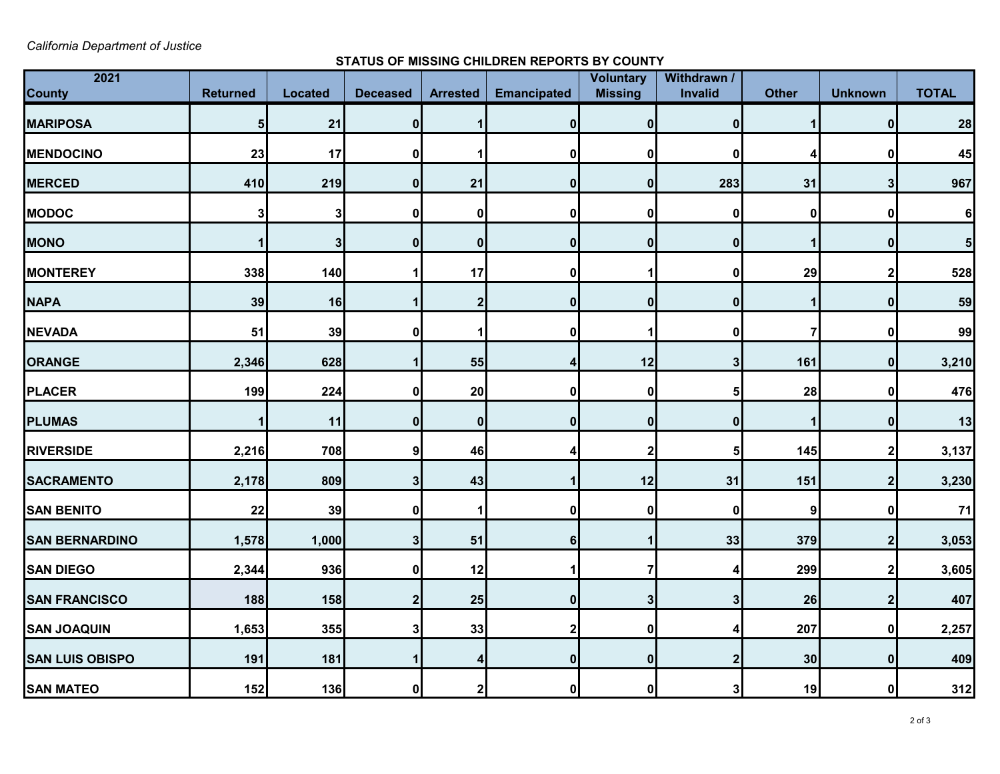*California Department of Justice*

## **STATUS OF MISSING CHILDREN REPORTS BY COUNTY**

| 2021<br><b>County</b>  | <b>Returned</b> | <b>Located</b> | <b>Deceased</b> | <b>Arrested</b> | <b>Emancipated</b> | <b>Voluntary</b><br><b>Missing</b> | Withdrawn /<br>Invalid | <b>Other</b>   | <b>Unknown</b>   | <b>TOTAL</b>            |
|------------------------|-----------------|----------------|-----------------|-----------------|--------------------|------------------------------------|------------------------|----------------|------------------|-------------------------|
| <b>MARIPOSA</b>        | 5               | 21             | 0               |                 | 0                  | $\mathbf{0}$                       | 0                      |                | $\mathbf 0$      | 28                      |
| <b>MENDOCINO</b>       | 23              | 17             | 0               |                 | 0                  | 0                                  | 0                      |                | 0                | 45                      |
| <b>MERCED</b>          | 410             | 219            | $\bf{0}$        | 21              | $\mathbf{0}$       | $\mathbf{0}$                       | 283                    | 31             | 3                | 967                     |
| <b>MODOC</b>           | 3               | 3              | 0               | $\mathbf 0$     | 0                  | O                                  | 0                      | 0              | 0                | $\bf 6$                 |
| <b>MONO</b>            | $\mathbf 1$     | $\mathbf{3}$   | $\bf{0}$        | $\overline{0}$  | 0                  | 0                                  | $\pmb{0}$              | 1              | $\bf{0}$         | $\overline{\mathbf{5}}$ |
| <b>MONTEREY</b>        | 338             | 140            |                 | 17              | 0                  |                                    | 0                      | 29             | 2                | 528                     |
| <b>NAPA</b>            | 39              | 16             |                 | 2 <sub>1</sub>  | 0                  | $\mathbf{0}$                       | $\mathbf 0$            | 1              | $\bf{0}$         | 59                      |
| <b>NEVADA</b>          | 51              | 39             | 0               |                 | 0                  |                                    | 0                      | $\overline{7}$ | 0                | 99                      |
| <b>ORANGE</b>          | 2,346           | 628            |                 | 55              |                    | 12                                 | 3                      | 161            | 0                | 3,210                   |
| <b>PLACER</b>          | 199             | 224            | 0               | 20              | $\mathbf{0}$       | 0                                  | 5                      | 28             | $\mathbf 0$      | 476                     |
| <b>PLUMAS</b>          | 1               | 11             | $\mathbf{0}$    | $\overline{0}$  | $\mathbf{0}$       | 0                                  | 0                      | 1              | 0                | 13                      |
| <b>RIVERSIDE</b>       | 2,216           | 708            | 9               | 46              | Δ                  |                                    | 5                      | 145            | $\mathbf{2}$     | 3,137                   |
| <b>SACRAMENTO</b>      | 2,178           | 809            | 3               | 43              |                    | 12                                 | 31                     | 151            | $\boldsymbol{2}$ | 3,230                   |
| <b>SAN BENITO</b>      | 22              | 39             | 0               |                 | 0                  | $\mathbf{0}$                       | 0                      | 9              | $\mathbf 0$      | 71                      |
| <b>SAN BERNARDINO</b>  | 1,578           | 1,000          | 3               | 51              | 6                  |                                    | 33                     | 379            | $\boldsymbol{2}$ | 3,053                   |
| <b>SAN DIEGO</b>       | 2,344           | 936            | 0               | 12              |                    |                                    | 4                      | 299            | $\mathbf{2}$     | 3,605                   |
| <b>SAN FRANCISCO</b>   | 188             | 158            | $\mathbf 2$     | 25              | 0                  | 3                                  | 3                      | 26             | $\mathbf{2}$     | 407                     |
| <b>SAN JOAQUIN</b>     | 1,653           | 355            |                 | 33              | 2                  | 0                                  | 4                      | 207            | $\mathbf 0$      | 2,257                   |
| <b>SAN LUIS OBISPO</b> | 191             | 181            |                 | $\frac{4}{ }$   | 0                  | $\mathbf{0}$                       | $\mathbf 2$            | 30             | $\mathbf 0$      | 409                     |
| <b>SAN MATEO</b>       | 152             | 136            | 0               | $\mathbf{2}$    | 0                  | 01                                 | 3                      | 19             | $\mathbf{0}$     | 312                     |